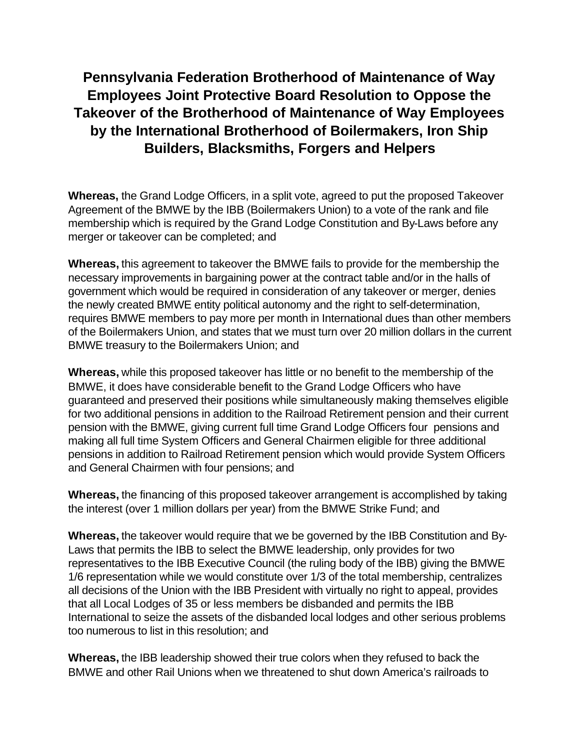## **Pennsylvania Federation Brotherhood of Maintenance of Way Employees Joint Protective Board Resolution to Oppose the Takeover of the Brotherhood of Maintenance of Way Employees by the International Brotherhood of Boilermakers, Iron Ship Builders, Blacksmiths, Forgers and Helpers**

**Whereas,** the Grand Lodge Officers, in a split vote, agreed to put the proposed Takeover Agreement of the BMWE by the IBB (Boilermakers Union) to a vote of the rank and file membership which is required by the Grand Lodge Constitution and By-Laws before any merger or takeover can be completed; and

**Whereas,** this agreement to takeover the BMWE fails to provide for the membership the necessary improvements in bargaining power at the contract table and/or in the halls of government which would be required in consideration of any takeover or merger, denies the newly created BMWE entity political autonomy and the right to self-determination, requires BMWE members to pay more per month in International dues than other members of the Boilermakers Union, and states that we must turn over 20 million dollars in the current BMWE treasury to the Boilermakers Union; and

**Whereas,** while this proposed takeover has little or no benefit to the membership of the BMWE, it does have considerable benefit to the Grand Lodge Officers who have guaranteed and preserved their positions while simultaneously making themselves eligible for two additional pensions in addition to the Railroad Retirement pension and their current pension with the BMWE, giving current full time Grand Lodge Officers four pensions and making all full time System Officers and General Chairmen eligible for three additional pensions in addition to Railroad Retirement pension which would provide System Officers and General Chairmen with four pensions; and

**Whereas,** the financing of this proposed takeover arrangement is accomplished by taking the interest (over 1 million dollars per year) from the BMWE Strike Fund; and

**Whereas,** the takeover would require that we be governed by the IBB Constitution and By-Laws that permits the IBB to select the BMWE leadership, only provides for two representatives to the IBB Executive Council (the ruling body of the IBB) giving the BMWE 1/6 representation while we would constitute over 1/3 of the total membership, centralizes all decisions of the Union with the IBB President with virtually no right to appeal, provides that all Local Lodges of 35 or less members be disbanded and permits the IBB International to seize the assets of the disbanded local lodges and other serious problems too numerous to list in this resolution; and

**Whereas,** the IBB leadership showed their true colors when they refused to back the BMWE and other Rail Unions when we threatened to shut down America's railroads to